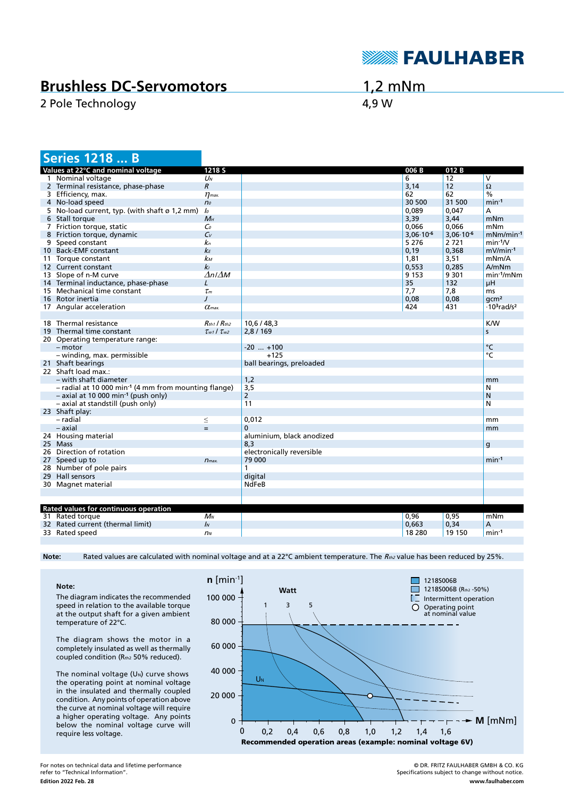

## **Brushless DC-Servomotors**

2 Pole Technology **4,9 W** 

1,2 mNm

| <b>Series 1218  B</b>                                              |                               |                           |                      |                |                                            |
|--------------------------------------------------------------------|-------------------------------|---------------------------|----------------------|----------------|--------------------------------------------|
| Values at 22°C and nominal voltage                                 | 1218 <sub>S</sub>             |                           | 006 B                | 012B           |                                            |
| 1 Nominal voltage                                                  | Uм                            |                           | 6                    | 12             | V                                          |
| 2 Terminal resistance, phase-phase                                 | $\mathcal{R}$                 |                           | 3,14                 | 12             | $\Omega$                                   |
| 3 Efficiency, max.                                                 | $\eta$ <sub>max</sub>         |                           | 62                   | 62             | $\%$                                       |
| 4 No-load speed                                                    | n <sub>o</sub>                |                           | 30 500               | 31 500         | $min-1$                                    |
| 5 No-load current, typ. (with shaft ø 1,2 mm)                      | lo                            |                           | 0,089                | 0,047          | А                                          |
| 6 Stall torque                                                     | $M_H$                         |                           | 3,39                 | 3,44           | mNm                                        |
| 7 Friction torque, static                                          | Co                            |                           | 0.066                | 0.066          | mNm                                        |
| 8 Friction torque, dynamic                                         | $C_{V}$                       |                           | $3.06 \cdot 10^{-6}$ | $3,06.10^{-6}$ | $mNm/min-1$                                |
| 9 Speed constant                                                   | kп                            |                           | 5 2 7 6              | 2721           | $min-1/V$                                  |
| 10 Back-EMF constant                                               | kЕ                            |                           | 0, 19                | 0,368          | mV/min-1                                   |
| 11 Torque constant                                                 | kм                            |                           | 1,81                 | 3,51           | mNm/A                                      |
| 12 Current constant                                                | kı                            |                           | 0,553                | 0,285          | A/mNm                                      |
| 13 Slope of n-M curve                                              | $\Delta n / \Delta M$         |                           | 9 1 5 3              | 9 3 0 1        | $min-1/mNm$                                |
| 14 Terminal inductance, phase-phase                                | $\mathcal{L}$                 |                           | 35                   | 132            | μH                                         |
| 15 Mechanical time constant                                        | $\tau_{\scriptscriptstyle m}$ |                           | 7,7                  | 7,8            | ms                                         |
| 16 Rotor inertia                                                   | $\prime$                      |                           | 0,08                 | 0,08           | qcm <sup>2</sup>                           |
|                                                                    |                               |                           | 424                  | 431            | $\cdot$ 10 <sup>3</sup> rad/s <sup>2</sup> |
| 17 Angular acceleration                                            | $\alpha$ <sub>max</sub>       |                           |                      |                |                                            |
|                                                                    |                               |                           |                      |                |                                            |
| 18 Thermal resistance                                              | $R_{th1}$ / $R_{th2}$         | 10,6/48,3                 |                      |                | <b>K/W</b>                                 |
| 19 Thermal time constant                                           | $\tau_{w1}$ / $\tau_{w2}$     | 2,8/169                   |                      |                | s                                          |
| 20 Operating temperature range:                                    |                               |                           |                      |                |                                            |
| - motor                                                            |                               | $-20$ $+100$              |                      |                | °C                                         |
| - winding, max. permissible                                        |                               | $+125$                    |                      |                | °C                                         |
| 21 Shaft bearings                                                  |                               | ball bearings, preloaded  |                      |                |                                            |
| 22 Shaft load max.:                                                |                               |                           |                      |                |                                            |
| – with shaft diameter                                              |                               | 1,2                       |                      |                | mm                                         |
| $-$ radial at 10 000 min <sup>-1</sup> (4 mm from mounting flange) |                               | 3,5                       |                      |                | N                                          |
| $-$ axial at 10 000 min <sup>-1</sup> (push only)                  |                               | $\overline{2}$            |                      |                | N                                          |
| - axial at standstill (push only)                                  |                               | 11                        |                      |                | N                                          |
| 23 Shaft play:                                                     |                               |                           |                      |                |                                            |
| - radial                                                           | $\leq$                        | 0,012                     |                      |                | mm                                         |
| - axial                                                            | $=$                           | $\Omega$                  |                      |                | mm                                         |
| 24 Housing material                                                |                               | aluminium, black anodized |                      |                |                                            |
| 25 Mass                                                            |                               | 8,3                       |                      |                | g                                          |
| 26 Direction of rotation                                           |                               | electronically reversible |                      |                |                                            |
| 27 Speed up to                                                     | $n_{max.}$                    | 79 000                    |                      |                | $min-1$                                    |
| 28 Number of pole pairs                                            |                               | 1                         |                      |                |                                            |
| 29 Hall sensors                                                    |                               | digital                   |                      |                |                                            |
| 30 Magnet material                                                 |                               | <b>NdFeB</b>              |                      |                |                                            |
|                                                                    |                               |                           |                      |                |                                            |
|                                                                    |                               |                           |                      |                |                                            |
| Rated values for continuous operation                              |                               |                           |                      |                |                                            |
| 31 Rated torque                                                    | $M_N$                         |                           | 0,96                 | 0,95           | mNm                                        |
| 32 Rated current (thermal limit)                                   | $\mathbf{I}$                  |                           | 0,663                | 0,34           | Α                                          |
| 33 Rated speed                                                     | n <sub>N</sub>                |                           | 18 2 8 0             | 19 150         | $min-1$                                    |
|                                                                    |                               |                           |                      |                |                                            |

Note: Rated values are calculated with nominal voltage and at a 22°C ambient temperature. The R<sub>th2</sub> value has been reduced by 25%.

**Note:** The diagram indicates the recommended speed in relation to the available torque at the output shaft for a given ambient temperature of 22°C.

The diagram shows the motor in a completely insulated as well as thermally coupled condition (Rth2 50% reduced).

The nominal voltage  $(U_N)$  curve shows the operating point at nominal voltage in the insulated and thermally coupled condition. Any points of operation above the curve at nominal voltage will require a higher operating voltage. Any points below the nominal voltage curve will require less voltage.



**Edition 2022 Feb. 28** For notes on technical data and lifetime performance refer to "Technical Information".

© DR. FRITZ FAULHABER GMBH & CO. KG Specifications subject to change without notice. **www.faulhaber.com**